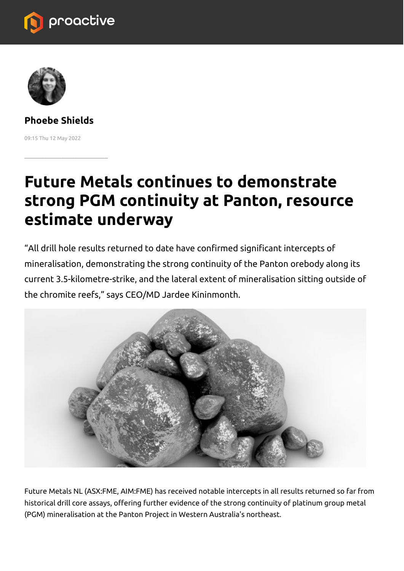



**Phoebe Shields** 09:15 Thu 12 May 2022

 $\mathcal{L}=\mathcal{L}=\mathcal{L}=\mathcal{L}=\mathcal{L}=\mathcal{L}=\mathcal{L}=\mathcal{L}=\mathcal{L}=\mathcal{L}=\mathcal{L}=\mathcal{L}=\mathcal{L}=\mathcal{L}=\mathcal{L}=\mathcal{L}=\mathcal{L}=\mathcal{L}=\mathcal{L}=\mathcal{L}=\mathcal{L}=\mathcal{L}=\mathcal{L}=\mathcal{L}=\mathcal{L}=\mathcal{L}=\mathcal{L}=\mathcal{L}=\mathcal{L}=\mathcal{L}=\mathcal{L}=\mathcal{L}=\mathcal{L}=\mathcal{L}=\mathcal{L}=\mathcal{L}=\mathcal{$ 

## **Future Metals continues to demonstrate strong PGM continuity at Panton, resource estimate underway**

"All drill hole results returned to date have confirmed significant intercepts of mineralisation, demonstrating the strong continuity of the Panton orebody along its current 3.5-kilometre-strike, and the lateral extent of mineralisation sitting outside of the chromite reefs," says CEO/MD Jardee Kininmonth.



Future Metals NL (ASX:FME, AIM:FME) has received notable intercepts in all results returned so far from historical drill core assays, offering further evidence of the strong continuity of platinum group metal (PGM) mineralisation at the Panton Project in Western Australia's northeast.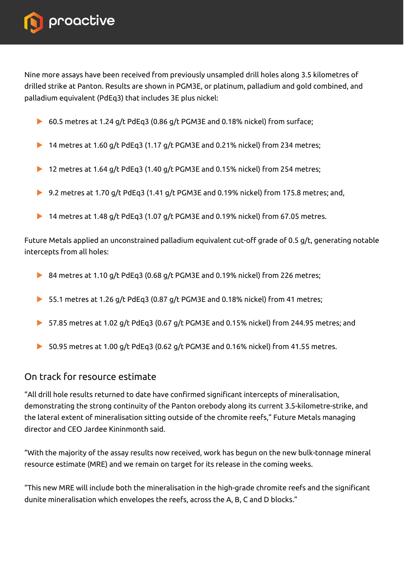

Nine more assays have been received from previously unsampled drill holes along 3.5 kilometres of drilled strike at Panton. Results are shown in PGM3E, or platinum, palladium and gold combined, and palladium equivalent (PdEq3) that includes 3E plus nickel:

- 60.5 metres at 1.24 g/t PdEq3 (0.86 g/t PGM3E and 0.18% nickel) from surface;
- ▶ 14 metres at 1.60 g/t PdEq3 (1.17 g/t PGM3E and 0.21% nickel) from 234 metres;
- ▶ 12 metres at 1.64 g/t PdEq3 (1.40 g/t PGM3E and 0.15% nickel) from 254 metres;
- ▶ 9.2 metres at 1.70 g/t PdEq3 (1.41 g/t PGM3E and 0.19% nickel) from 175.8 metres; and,
- ▶ 14 metres at 1.48 g/t PdEq3 (1.07 g/t PGM3E and 0.19% nickel) from 67.05 metres.

Future Metals applied an unconstrained palladium equivalent cut-off grade of 0.5 g/t, generating notable intercepts from all holes:

- ▶ 84 metres at 1.10 g/t PdEq3 (0.68 g/t PGM3E and 0.19% nickel) from 226 metres;
- ▶ 55.1 metres at 1.26 g/t PdEq3 (0.87 g/t PGM3E and 0.18% nickel) from 41 metres;
- 57.85 metres at 1.02 g/t PdEq3 (0.67 g/t PGM3E and 0.15% nickel) from 244.95 metres; and
- ▶ 50.95 metres at 1.00 g/t PdEq3 (0.62 g/t PGM3E and 0.16% nickel) from 41.55 metres.

## On track for resource estimate

"All drill hole results returned to date have confirmed significant intercepts of mineralisation, demonstrating the strong continuity of the Panton orebody along its current 3.5-kilometre-strike, and the lateral extent of mineralisation sitting outside of the chromite reefs," Future Metals managing director and CEO Jardee Kininmonth said.

"With the majority of the assay results now received, work has begun on the new bulk-tonnage mineral resource estimate (MRE) and we remain on target for its release in the coming weeks.

"This new MRE will include both the mineralisation in the high-grade chromite reefs and the significant dunite mineralisation which envelopes the reefs, across the A, B, C and D blocks."